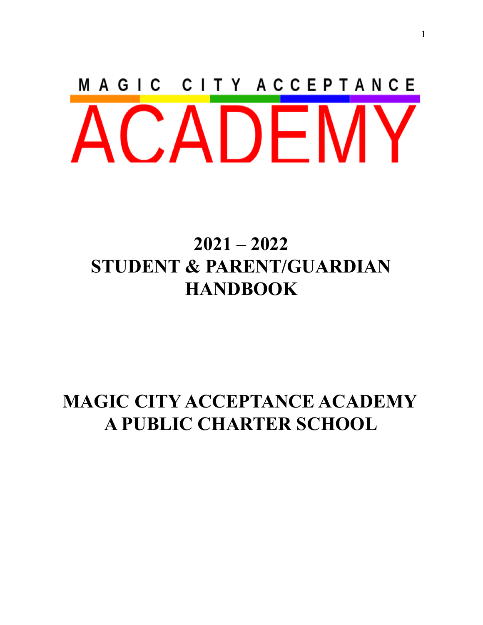# MAGIC CITY ACCEPTANCE CADEN

# **2021 – 2022 STUDENT & PARENT/GUARDIAN HANDBOOK**

# **MAGIC CITY ACCEPTANCE ACADEMY A PUBLIC CHARTER SCHOOL**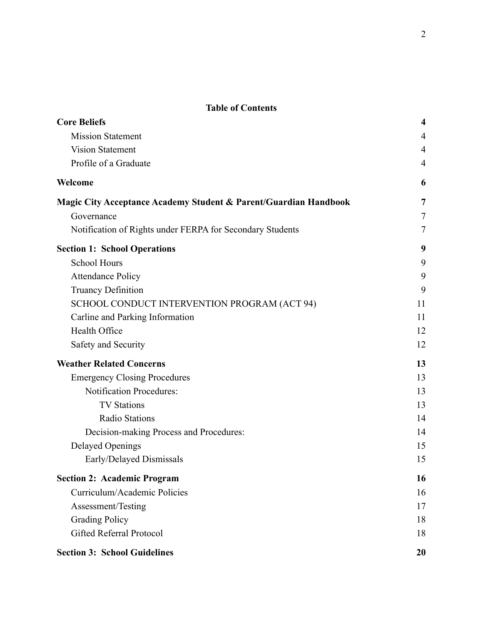### **Table of Contents**

| <b>Core Beliefs</b>                                              | $\overline{\mathbf{4}}$ |  |
|------------------------------------------------------------------|-------------------------|--|
| <b>Mission Statement</b>                                         |                         |  |
| <b>Vision Statement</b>                                          | $\overline{4}$          |  |
| Profile of a Graduate                                            | $\overline{4}$          |  |
| Welcome                                                          | 6                       |  |
| Magic City Acceptance Academy Student & Parent/Guardian Handbook | 7                       |  |
| Governance                                                       | 7                       |  |
| Notification of Rights under FERPA for Secondary Students        | 7                       |  |
| <b>Section 1: School Operations</b>                              | 9                       |  |
| <b>School Hours</b>                                              | 9                       |  |
| <b>Attendance Policy</b>                                         | 9                       |  |
| <b>Truancy Definition</b>                                        | 9                       |  |
| SCHOOL CONDUCT INTERVENTION PROGRAM (ACT 94)                     | 11                      |  |
| Carline and Parking Information                                  | 11                      |  |
| Health Office                                                    | 12                      |  |
| Safety and Security                                              | 12                      |  |
| <b>Weather Related Concerns</b>                                  | 13                      |  |
| <b>Emergency Closing Procedures</b>                              | 13                      |  |
| <b>Notification Procedures:</b>                                  | 13                      |  |
| <b>TV Stations</b>                                               | 13                      |  |
| <b>Radio Stations</b>                                            | 14                      |  |
| Decision-making Process and Procedures:                          | 14                      |  |
| <b>Delayed Openings</b>                                          | 15                      |  |
| Early/Delayed Dismissals                                         | 15                      |  |
| <b>Section 2: Academic Program</b>                               | 16                      |  |
| Curriculum/Academic Policies                                     | 16                      |  |
| Assessment/Testing                                               | 17                      |  |
| <b>Grading Policy</b>                                            | 18                      |  |
| <b>Gifted Referral Protocol</b>                                  | 18                      |  |
| <b>Section 3: School Guidelines</b>                              | 20                      |  |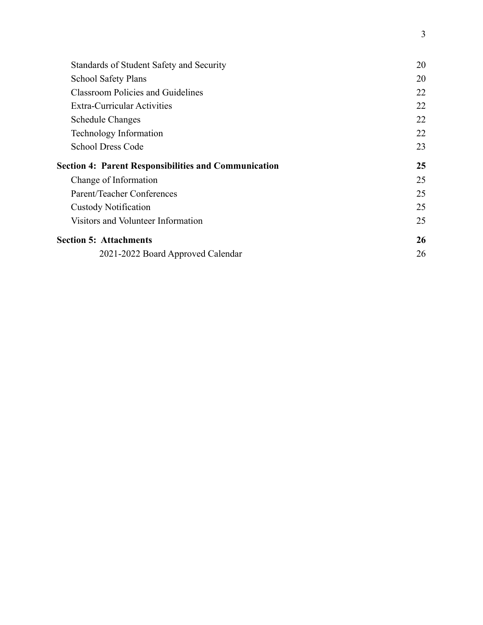| Standards of Student Safety and Security                    | 20 |
|-------------------------------------------------------------|----|
| <b>School Safety Plans</b>                                  | 20 |
| <b>Classroom Policies and Guidelines</b>                    | 22 |
| <b>Extra-Curricular Activities</b>                          | 22 |
| <b>Schedule Changes</b>                                     | 22 |
| Technology Information                                      | 22 |
| <b>School Dress Code</b>                                    | 23 |
| <b>Section 4: Parent Responsibilities and Communication</b> | 25 |
| Change of Information                                       | 25 |
| Parent/Teacher Conferences                                  | 25 |
| <b>Custody Notification</b>                                 | 25 |
|                                                             |    |
| Visitors and Volunteer Information                          | 25 |
| <b>Section 5: Attachments</b>                               | 26 |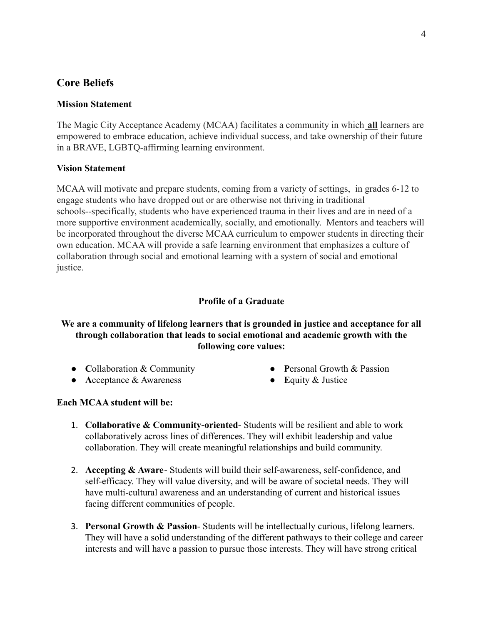# <span id="page-3-0"></span>**Core Beliefs**

# <span id="page-3-1"></span>**Mission Statement**

The Magic City Acceptance Academy (MCAA) facilitates a community in which **all** learners are empowered to embrace education, achieve individual success, and take ownership of their future in a BRAVE, LGBTQ-affirming learning environment.

## <span id="page-3-2"></span>**Vision Statement**

MCAA will motivate and prepare students, coming from a variety of settings, in grades 6-12 to engage students who have dropped out or are otherwise not thriving in traditional schools--specifically, students who have experienced trauma in their lives and are in need of a more supportive environment academically, socially, and emotionally. Mentors and teachers will be incorporated throughout the diverse MCAA curriculum to empower students in directing their own education. MCAA will provide a safe learning environment that emphasizes a culture of collaboration through social and emotional learning with a system of social and emotional justice.

## **Profile of a Graduate**

# <span id="page-3-3"></span>**We are a community of lifelong learners that is grounded in justice and acceptance for all through collaboration that leads to social emotional and academic growth with the following core values:**

- **● C**ollaboration & Community
- **● A**cceptance & Awareness
- **● P**ersonal Growth & Passion
- **● E**quity & Justice

# **Each MCAA student will be:**

- 1. **Collaborative & Community-oriented** Students will be resilient and able to work collaboratively across lines of differences. They will exhibit leadership and value collaboration. They will create meaningful relationships and build community.
- 2. **Accepting & Aware** Students will build their self-awareness, self-confidence, and self-efficacy. They will value diversity, and will be aware of societal needs. They will have multi-cultural awareness and an understanding of current and historical issues facing different communities of people.
- 3. **Personal Growth & Passion** Students will be intellectually curious, lifelong learners. They will have a solid understanding of the different pathways to their college and career interests and will have a passion to pursue those interests. They will have strong critical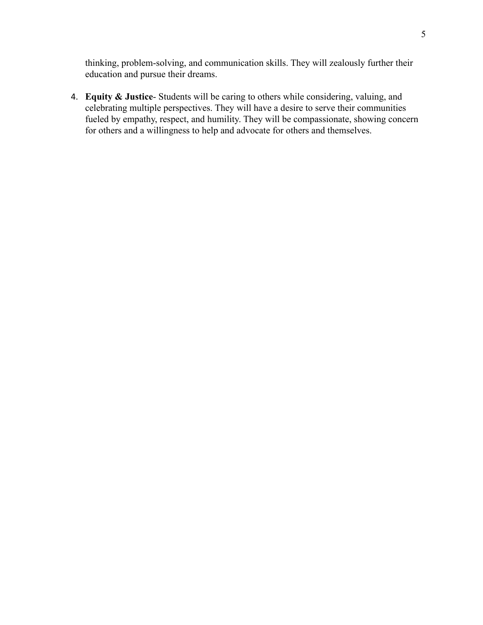thinking, problem-solving, and communication skills. They will zealously further their education and pursue their dreams.

4. **Equity & Justice**- Students will be caring to others while considering, valuing, and celebrating multiple perspectives. They will have a desire to serve their communities fueled by empathy, respect, and humility. They will be compassionate, showing concern for others and a willingness to help and advocate for others and themselves.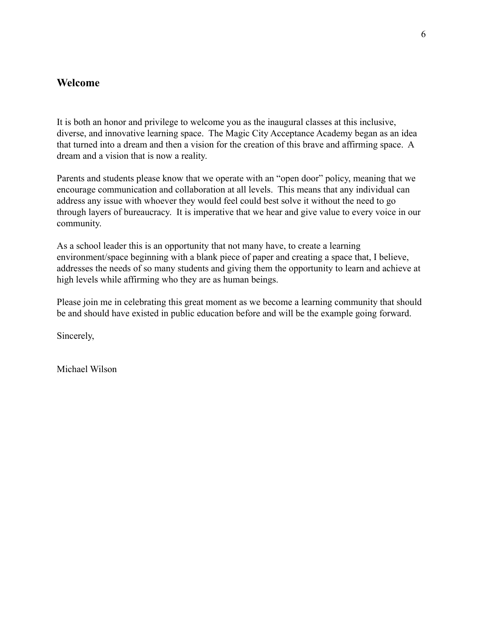# <span id="page-5-0"></span>**Welcome**

It is both an honor and privilege to welcome you as the inaugural classes at this inclusive, diverse, and innovative learning space. The Magic City Acceptance Academy began as an idea that turned into a dream and then a vision for the creation of this brave and affirming space. A dream and a vision that is now a reality.

Parents and students please know that we operate with an "open door" policy, meaning that we encourage communication and collaboration at all levels. This means that any individual can address any issue with whoever they would feel could best solve it without the need to go through layers of bureaucracy. It is imperative that we hear and give value to every voice in our community.

As a school leader this is an opportunity that not many have, to create a learning environment/space beginning with a blank piece of paper and creating a space that, I believe, addresses the needs of so many students and giving them the opportunity to learn and achieve at high levels while affirming who they are as human beings.

Please join me in celebrating this great moment as we become a learning community that should be and should have existed in public education before and will be the example going forward.

Sincerely,

Michael Wilson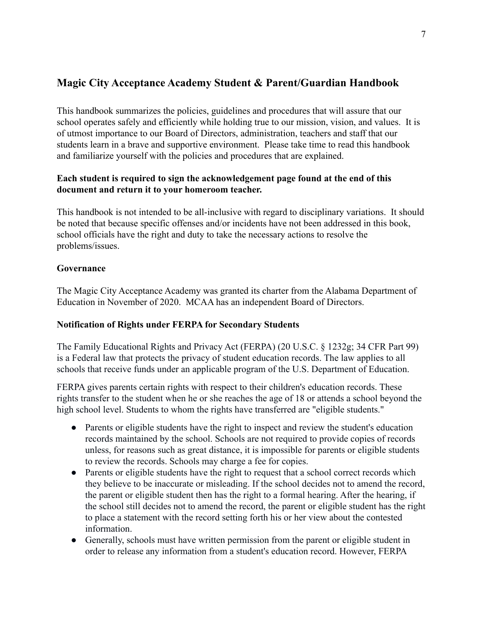# <span id="page-6-0"></span>**Magic City Acceptance Academy Student & Parent/Guardian Handbook**

This handbook summarizes the policies, guidelines and procedures that will assure that our school operates safely and efficiently while holding true to our mission, vision, and values. It is of utmost importance to our Board of Directors, administration, teachers and staff that our students learn in a brave and supportive environment. Please take time to read this handbook and familiarize yourself with the policies and procedures that are explained.

# **Each student is required to sign the acknowledgement page found at the end of this document and return it to your homeroom teacher.**

This handbook is not intended to be all-inclusive with regard to disciplinary variations. It should be noted that because specific offenses and/or incidents have not been addressed in this book, school officials have the right and duty to take the necessary actions to resolve the problems/issues.

## <span id="page-6-1"></span>**Governance**

The Magic City Acceptance Academy was granted its charter from the Alabama Department of Education in November of 2020. MCAA has an independent Board of Directors.

# <span id="page-6-2"></span>**Notification of Rights under FERPA for Secondary Students**

The Family Educational Rights and Privacy Act (FERPA) (20 U.S.C. § 1232g; 34 CFR Part 99) is a Federal law that protects the privacy of student education records. The law applies to all schools that receive funds under an applicable program of the U.S. Department of Education.

FERPA gives parents certain rights with respect to their children's education records. These rights transfer to the student when he or she reaches the age of 18 or attends a school beyond the high school level. Students to whom the rights have transferred are "eligible students."

- Parents or eligible students have the right to inspect and review the student's education records maintained by the school. Schools are not required to provide copies of records unless, for reasons such as great distance, it is impossible for parents or eligible students to review the records. Schools may charge a fee for copies.
- Parents or eligible students have the right to request that a school correct records which they believe to be inaccurate or misleading. If the school decides not to amend the record, the parent or eligible student then has the right to a formal hearing. After the hearing, if the school still decides not to amend the record, the parent or eligible student has the right to place a statement with the record setting forth his or her view about the contested information.
- Generally, schools must have written permission from the parent or eligible student in order to release any information from a student's education record. However, FERPA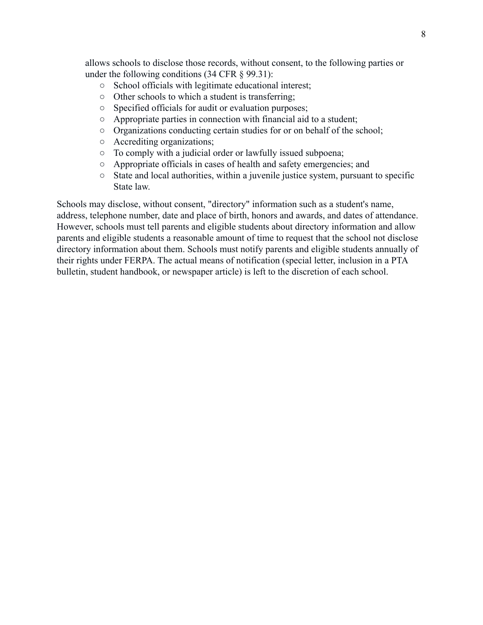allows schools to disclose those records, without consent, to the following parties or under the following conditions (34 CFR § 99.31):

- School officials with legitimate educational interest;
- Other schools to which a student is transferring;
- Specified officials for audit or evaluation purposes;
- Appropriate parties in connection with financial aid to a student;
- Organizations conducting certain studies for or on behalf of the school;
- Accrediting organizations;
- To comply with a judicial order or lawfully issued subpoena;
- Appropriate officials in cases of health and safety emergencies; and
- State and local authorities, within a juvenile justice system, pursuant to specific State law.

Schools may disclose, without consent, "directory" information such as a student's name, address, telephone number, date and place of birth, honors and awards, and dates of attendance. However, schools must tell parents and eligible students about directory information and allow parents and eligible students a reasonable amount of time to request that the school not disclose directory information about them. Schools must notify parents and eligible students annually of their rights under FERPA. The actual means of notification (special letter, inclusion in a PTA bulletin, student handbook, or newspaper article) is left to the discretion of each school.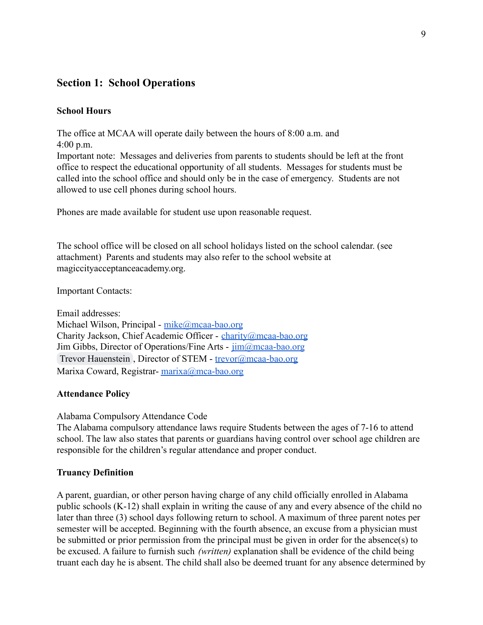# <span id="page-8-0"></span>**Section 1: School Operations**

## <span id="page-8-1"></span>**School Hours**

The office at MCAA will operate daily between the hours of 8:00 a.m. and 4:00 p.m.

Important note: Messages and deliveries from parents to students should be left at the front office to respect the educational opportunity of all students. Messages for students must be called into the school office and should only be in the case of emergency. Students are not allowed to use cell phones during school hours.

Phones are made available for student use upon reasonable request.

The school office will be closed on all school holidays listed on the school calendar. (see attachment) Parents and students may also refer to the school website at magiccityacceptanceacademy.org.

Important Contacts:

Email addresses: Michael Wilson, Principal - [mike@mcaa-bao.org](mailto:mike@mcaa-bao.org) Charity Jackson, Chief Academic Officer - [charity@mcaa-bao.org](mailto:charity@mcaa-bao.org) Jim Gibbs, Director of Operations/Fine Arts -  $\overline{\lim_{n \to \infty}}$ mcaa-bao.org [Trevor Hauenstein](mailto:trevor@mcaa-bao.org) , Director of STEM - [trevor@mcaa-bao.org](mailto:trevor@mcaa-bao.org) Marixa Coward, Registrar- [marixa@mca-bao.org](mailto:marixa@mca-bao.org)

#### <span id="page-8-2"></span>**Attendance Policy**

Alabama Compulsory Attendance Code

The Alabama compulsory attendance laws require Students between the ages of 7-16 to attend school. The law also states that parents or guardians having control over school age children are responsible for the children's regular attendance and proper conduct.

#### <span id="page-8-3"></span>**Truancy Definition**

A parent, guardian, or other person having charge of any child officially enrolled in Alabama public schools (K-12) shall explain in writing the cause of any and every absence of the child no later than three (3) school days following return to school. A maximum of three parent notes per semester will be accepted. Beginning with the fourth absence, an excuse from a physician must be submitted or prior permission from the principal must be given in order for the absence(s) to be excused. A failure to furnish such *(written)* explanation shall be evidence of the child being truant each day he is absent. The child shall also be deemed truant for any absence determined by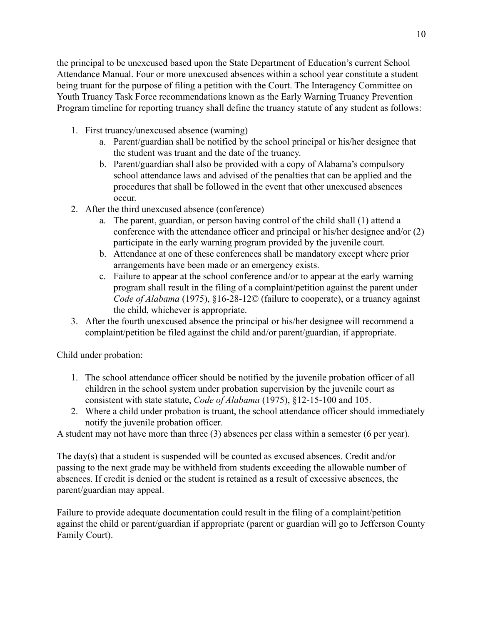the principal to be unexcused based upon the State Department of Education's current School Attendance Manual. Four or more unexcused absences within a school year constitute a student being truant for the purpose of filing a petition with the Court. The Interagency Committee on Youth Truancy Task Force recommendations known as the Early Warning Truancy Prevention Program timeline for reporting truancy shall define the truancy statute of any student as follows:

- 1. First truancy/unexcused absence (warning)
	- a. Parent/guardian shall be notified by the school principal or his/her designee that the student was truant and the date of the truancy.
	- b. Parent/guardian shall also be provided with a copy of Alabama's compulsory school attendance laws and advised of the penalties that can be applied and the procedures that shall be followed in the event that other unexcused absences occur.
- 2. After the third unexcused absence (conference)
	- a. The parent, guardian, or person having control of the child shall (1) attend a conference with the attendance officer and principal or his/her designee and/or (2) participate in the early warning program provided by the juvenile court.
	- b. Attendance at one of these conferences shall be mandatory except where prior arrangements have been made or an emergency exists.
	- c. Failure to appear at the school conference and/or to appear at the early warning program shall result in the filing of a complaint/petition against the parent under *Code of Alabama* (1975), §16-28-12© (failure to cooperate), or a truancy against the child, whichever is appropriate.
- 3. After the fourth unexcused absence the principal or his/her designee will recommend a complaint/petition be filed against the child and/or parent/guardian, if appropriate.

Child under probation:

- 1. The school attendance officer should be notified by the juvenile probation officer of all children in the school system under probation supervision by the juvenile court as consistent with state statute, *Code of Alabama* (1975), §12-15-100 and 105.
- 2. Where a child under probation is truant, the school attendance officer should immediately notify the juvenile probation officer.

A student may not have more than three (3) absences per class within a semester (6 per year).

The day(s) that a student is suspended will be counted as excused absences. Credit and/or passing to the next grade may be withheld from students exceeding the allowable number of absences. If credit is denied or the student is retained as a result of excessive absences, the parent/guardian may appeal.

Failure to provide adequate documentation could result in the filing of a complaint/petition against the child or parent/guardian if appropriate (parent or guardian will go to Jefferson County Family Court).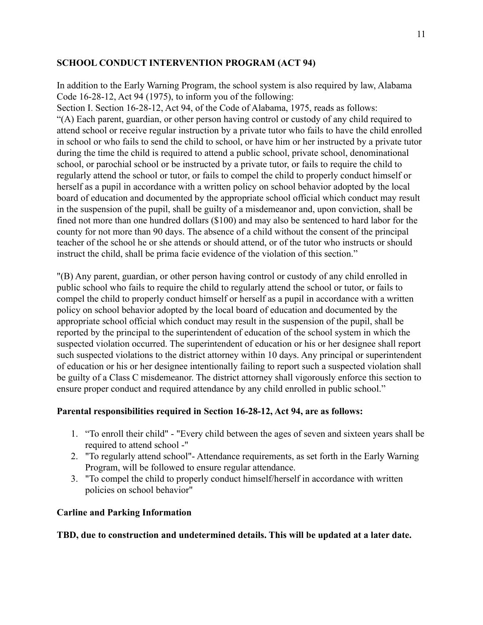# <span id="page-10-0"></span>**SCHOOL CONDUCT INTERVENTION PROGRAM (ACT 94)**

In addition to the Early Warning Program, the school system is also required by law, Alabama Code 16-28-12, Act 94 (1975), to inform you of the following:

Section I. Section 16-28-12, Act 94, of the Code of Alabama, 1975, reads as follows: "(A) Each parent, guardian, or other person having control or custody of any child required to attend school or receive regular instruction by a private tutor who fails to have the child enrolled in school or who fails to send the child to school, or have him or her instructed by a private tutor during the time the child is required to attend a public school, private school, denominational school, or parochial school or be instructed by a private tutor, or fails to require the child to regularly attend the school or tutor, or fails to compel the child to properly conduct himself or herself as a pupil in accordance with a written policy on school behavior adopted by the local board of education and documented by the appropriate school official which conduct may result in the suspension of the pupil, shall be guilty of a misdemeanor and, upon conviction, shall be fined not more than one hundred dollars (\$100) and may also be sentenced to hard labor for the county for not more than 90 days. The absence of a child without the consent of the principal teacher of the school he or she attends or should attend, or of the tutor who instructs or should instruct the child, shall be prima facie evidence of the violation of this section."

"(B) Any parent, guardian, or other person having control or custody of any child enrolled in public school who fails to require the child to regularly attend the school or tutor, or fails to compel the child to properly conduct himself or herself as a pupil in accordance with a written policy on school behavior adopted by the local board of education and documented by the appropriate school official which conduct may result in the suspension of the pupil, shall be reported by the principal to the superintendent of education of the school system in which the suspected violation occurred. The superintendent of education or his or her designee shall report such suspected violations to the district attorney within 10 days. Any principal or superintendent of education or his or her designee intentionally failing to report such a suspected violation shall be guilty of a Class C misdemeanor. The district attorney shall vigorously enforce this section to ensure proper conduct and required attendance by any child enrolled in public school."

# **Parental responsibilities required in Section 16-28-12, Act 94, are as follows:**

- 1. "To enroll their child" "Every child between the ages of seven and sixteen years shall be required to attend school -"
- 2. "To regularly attend school"- Attendance requirements, as set forth in the Early Warning Program, will be followed to ensure regular attendance.
- 3. "To compel the child to properly conduct himself/herself in accordance with written policies on school behavior"

#### <span id="page-10-1"></span>**Carline and Parking Information**

**TBD, due to construction and undetermined details. This will be updated at a later date.**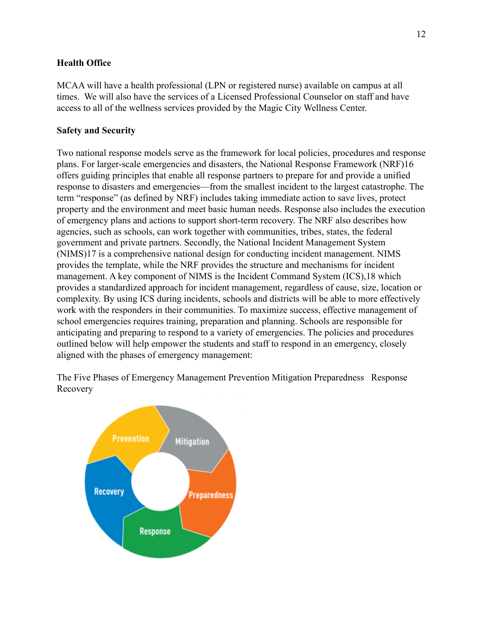# <span id="page-11-0"></span>**Health Office**

MCAA will have a health professional (LPN or registered nurse) available on campus at all times. We will also have the services of a Licensed Professional Counselor on staff and have access to all of the wellness services provided by the Magic City Wellness Center.

# <span id="page-11-1"></span>**Safety and Security**

Two national response models serve as the framework for local policies, procedures and response plans. For larger-scale emergencies and disasters, the National Response Framework (NRF)16 offers guiding principles that enable all response partners to prepare for and provide a unified response to disasters and emergencies—from the smallest incident to the largest catastrophe. The term "response" (as defined by NRF) includes taking immediate action to save lives, protect property and the environment and meet basic human needs. Response also includes the execution of emergency plans and actions to support short-term recovery. The NRF also describes how agencies, such as schools, can work together with communities, tribes, states, the federal government and private partners. Secondly, the National Incident Management System (NIMS)17 is a comprehensive national design for conducting incident management. NIMS provides the template, while the NRF provides the structure and mechanisms for incident management. A key component of NIMS is the Incident Command System (ICS),18 which provides a standardized approach for incident management, regardless of cause, size, location or complexity. By using ICS during incidents, schools and districts will be able to more effectively work with the responders in their communities. To maximize success, effective management of school emergencies requires training, preparation and planning. Schools are responsible for anticipating and preparing to respond to a variety of emergencies. The policies and procedures outlined below will help empower the students and staff to respond in an emergency, closely aligned with the phases of emergency management:

The Five Phases of Emergency Management Prevention Mitigation Preparedness Response Recovery

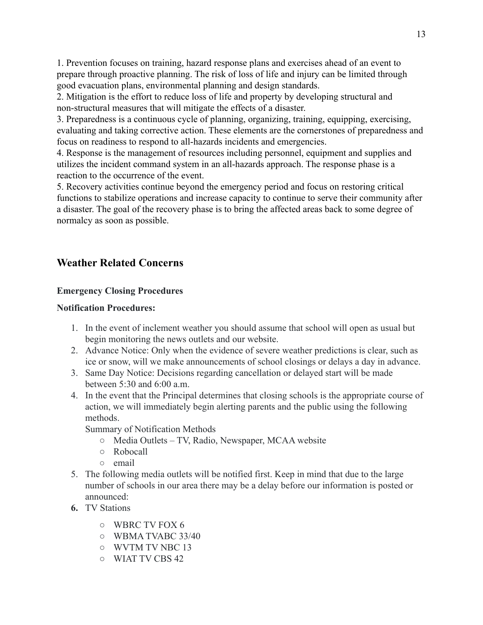1. Prevention focuses on training, hazard response plans and exercises ahead of an event to prepare through proactive planning. The risk of loss of life and injury can be limited through good evacuation plans, environmental planning and design standards.

2. Mitigation is the effort to reduce loss of life and property by developing structural and non-structural measures that will mitigate the effects of a disaster.

3. Preparedness is a continuous cycle of planning, organizing, training, equipping, exercising, evaluating and taking corrective action. These elements are the cornerstones of preparedness and focus on readiness to respond to all-hazards incidents and emergencies.

4. Response is the management of resources including personnel, equipment and supplies and utilizes the incident command system in an all-hazards approach. The response phase is a reaction to the occurrence of the event.

5. Recovery activities continue beyond the emergency period and focus on restoring critical functions to stabilize operations and increase capacity to continue to serve their community after a disaster. The goal of the recovery phase is to bring the affected areas back to some degree of normalcy as soon as possible.

# <span id="page-12-0"></span>**Weather Related Concerns**

# <span id="page-12-1"></span>**Emergency Closing Procedures**

# <span id="page-12-2"></span>**Notification Procedures:**

- 1. In the event of inclement weather you should assume that school will open as usual but begin monitoring the news outlets and our website.
- 2. Advance Notice: Only when the evidence of severe weather predictions is clear, such as ice or snow, will we make announcements of school closings or delays a day in advance.
- 3. Same Day Notice: Decisions regarding cancellation or delayed start will be made between  $5:30$  and  $6:00$  a m.
- 4. In the event that the Principal determines that closing schools is the appropriate course of action, we will immediately begin alerting parents and the public using the following methods.

Summary of Notification Methods

- Media Outlets TV, Radio, Newspaper, MCAA website
- Robocall
- email
- 5. The following media outlets will be notified first. Keep in mind that due to the large number of schools in our area there may be a delay before our information is posted or announced:
- <span id="page-12-3"></span>**6.** TV Stations
	- WBRC TV FOX 6
	- WBMA TVABC 33/40
	- WVTM TV NBC 13
	- WIAT TV CBS 42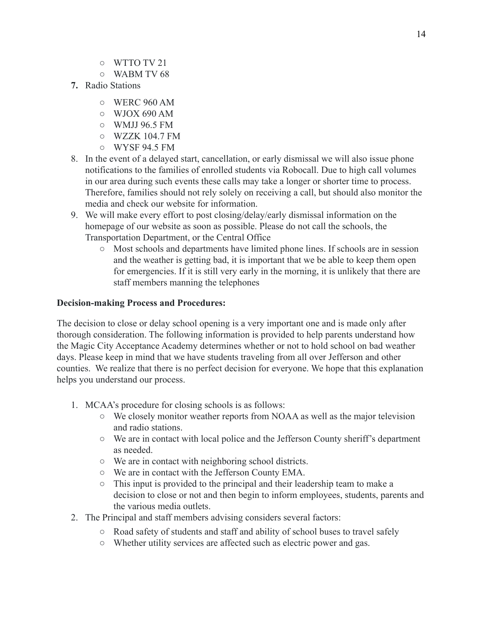- WTTO TV 21
- WABM TV 68
- <span id="page-13-0"></span>**7.** Radio Stations
	- WERC 960 AM
	- $\circ$  WJOX 690 AM
	- WMJJ 96.5 FM
	- $\circ$  WZZK 104.7 FM
	- WYSF 94.5 FM
- 8. In the event of a delayed start, cancellation, or early dismissal we will also issue phone notifications to the families of enrolled students via Robocall. Due to high call volumes in our area during such events these calls may take a longer or shorter time to process. Therefore, families should not rely solely on receiving a call, but should also monitor the media and check our website for information.
- 9. We will make every effort to post closing/delay/early dismissal information on the homepage of our website as soon as possible. Please do not call the schools, the Transportation Department, or the Central Office
	- Most schools and departments have limited phone lines. If schools are in session and the weather is getting bad, it is important that we be able to keep them open for emergencies. If it is still very early in the morning, it is unlikely that there are staff members manning the telephones

# <span id="page-13-1"></span>**Decision-making Process and Procedures:**

The decision to close or delay school opening is a very important one and is made only after thorough consideration. The following information is provided to help parents understand how the Magic City Acceptance Academy determines whether or not to hold school on bad weather days. Please keep in mind that we have students traveling from all over Jefferson and other counties. We realize that there is no perfect decision for everyone. We hope that this explanation helps you understand our process.

- 1. MCAA's procedure for closing schools is as follows:
	- We closely monitor weather reports from NOAA as well as the major television and radio stations.
	- We are in contact with local police and the Jefferson County sheriff's department as needed.
	- We are in contact with neighboring school districts.
	- We are in contact with the Jefferson County EMA.
	- This input is provided to the principal and their leadership team to make a decision to close or not and then begin to inform employees, students, parents and the various media outlets.
- 2. The Principal and staff members advising considers several factors:
	- Road safety of students and staff and ability of school buses to travel safely
	- Whether utility services are affected such as electric power and gas.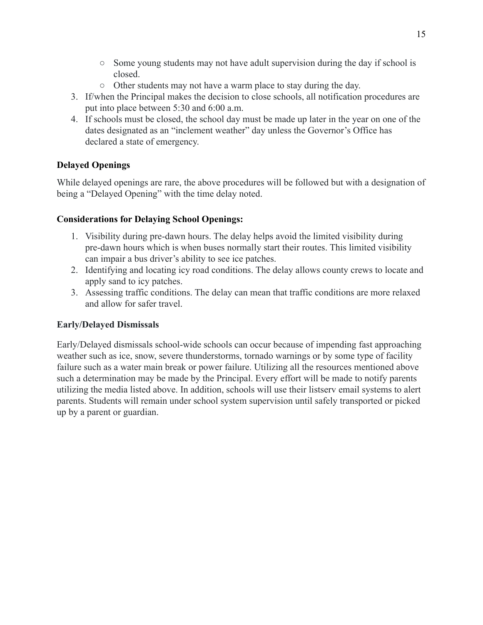- $\circ$  Some young students may not have adult supervision during the day if school is closed.
- Other students may not have a warm place to stay during the day.
- 3. If/when the Principal makes the decision to close schools, all notification procedures are put into place between 5:30 and 6:00 a.m.
- 4. If schools must be closed, the school day must be made up later in the year on one of the dates designated as an "inclement weather" day unless the Governor's Office has declared a state of emergency.

# <span id="page-14-0"></span>**Delayed Openings**

While delayed openings are rare, the above procedures will be followed but with a designation of being a "Delayed Opening" with the time delay noted.

# **Considerations for Delaying School Openings:**

- 1. Visibility during pre-dawn hours. The delay helps avoid the limited visibility during pre-dawn hours which is when buses normally start their routes. This limited visibility can impair a bus driver's ability to see ice patches.
- 2. Identifying and locating icy road conditions. The delay allows county crews to locate and apply sand to icy patches.
- 3. Assessing traffic conditions. The delay can mean that traffic conditions are more relaxed and allow for safer travel.

# <span id="page-14-1"></span>**Early/Delayed Dismissals**

Early/Delayed dismissals school-wide schools can occur because of impending fast approaching weather such as ice, snow, severe thunderstorms, tornado warnings or by some type of facility failure such as a water main break or power failure. Utilizing all the resources mentioned above such a determination may be made by the Principal. Every effort will be made to notify parents utilizing the media listed above. In addition, schools will use their listserv email systems to alert parents. Students will remain under school system supervision until safely transported or picked up by a parent or guardian.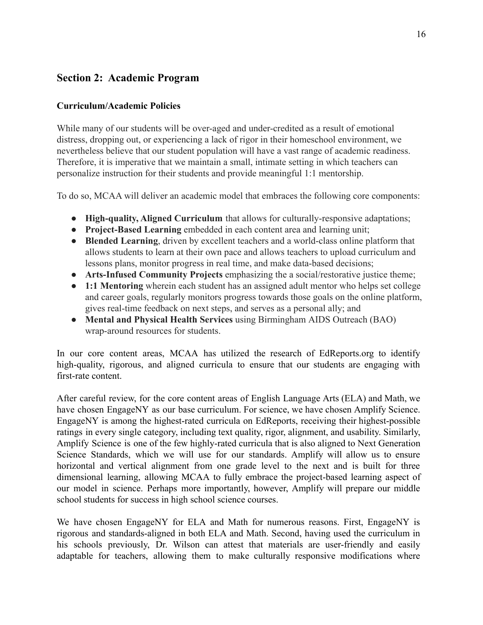# <span id="page-15-0"></span>**Section 2: Academic Program**

# <span id="page-15-1"></span>**Curriculum/Academic Policies**

While many of our students will be over-aged and under-credited as a result of emotional distress, dropping out, or experiencing a lack of rigor in their homeschool environment, we nevertheless believe that our student population will have a vast range of academic readiness. Therefore, it is imperative that we maintain a small, intimate setting in which teachers can personalize instruction for their students and provide meaningful 1:1 mentorship.

To do so, MCAA will deliver an academic model that embraces the following core components:

- **High-quality, Aligned Curriculum** that allows for culturally-responsive adaptations;
- **Project-Based Learning** embedded in each content area and learning unit;
- **Blended Learning**, driven by excellent teachers and a world-class online platform that allows students to learn at their own pace and allows teachers to upload curriculum and lessons plans, monitor progress in real time, and make data-based decisions;
- **Arts-Infused Community Projects** emphasizing the a social/restorative justice theme;
- **1:1 Mentoring** wherein each student has an assigned adult mentor who helps set college and career goals, regularly monitors progress towards those goals on the online platform, gives real-time feedback on next steps, and serves as a personal ally; and
- **Mental and Physical Health Services** using Birmingham AIDS Outreach (BAO) wrap-around resources for students.

In our core content areas, MCAA has utilized the research of EdReports.org to identify high-quality, rigorous, and aligned curricula to ensure that our students are engaging with first-rate content.

After careful review, for the core content areas of English Language Arts (ELA) and Math, we have chosen EngageNY as our base curriculum. For science, we have chosen Amplify Science. EngageNY is among the highest-rated curricula on EdReports, receiving their highest-possible ratings in every single category, including text quality, rigor, alignment, and usability. Similarly, Amplify Science is one of the few highly-rated curricula that is also aligned to Next Generation Science Standards, which we will use for our standards. Amplify will allow us to ensure horizontal and vertical alignment from one grade level to the next and is built for three dimensional learning, allowing MCAA to fully embrace the project-based learning aspect of our model in science. Perhaps more importantly, however, Amplify will prepare our middle school students for success in high school science courses.

We have chosen EngageNY for ELA and Math for numerous reasons. First, EngageNY is rigorous and standards-aligned in both ELA and Math. Second, having used the curriculum in his schools previously, Dr. Wilson can attest that materials are user-friendly and easily adaptable for teachers, allowing them to make culturally responsive modifications where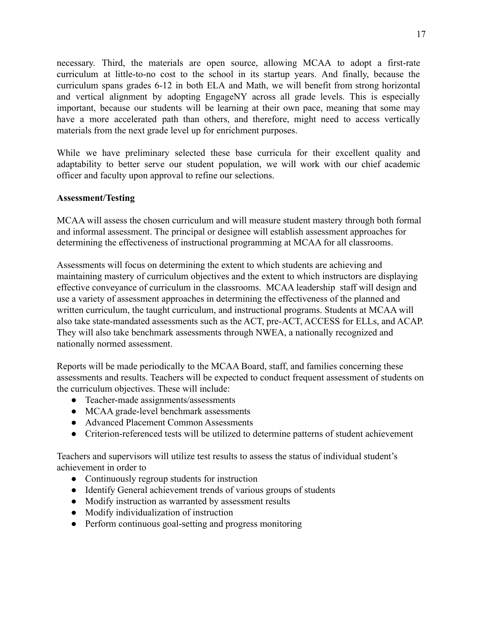necessary. Third, the materials are open source, allowing MCAA to adopt a first-rate curriculum at little-to-no cost to the school in its startup years. And finally, because the curriculum spans grades 6-12 in both ELA and Math, we will benefit from strong horizontal and vertical alignment by adopting EngageNY across all grade levels. This is especially important, because our students will be learning at their own pace, meaning that some may have a more accelerated path than others, and therefore, might need to access vertically materials from the next grade level up for enrichment purposes.

While we have preliminary selected these base curricula for their excellent quality and adaptability to better serve our student population, we will work with our chief academic officer and faculty upon approval to refine our selections.

#### <span id="page-16-0"></span>**Assessment/Testing**

MCAA will assess the chosen curriculum and will measure student mastery through both formal and informal assessment. The principal or designee will establish assessment approaches for determining the effectiveness of instructional programming at MCAA for all classrooms.

Assessments will focus on determining the extent to which students are achieving and maintaining mastery of curriculum objectives and the extent to which instructors are displaying effective conveyance of curriculum in the classrooms. MCAA leadership staff will design and use a variety of assessment approaches in determining the effectiveness of the planned and written curriculum, the taught curriculum, and instructional programs. Students at MCAA will also take state-mandated assessments such as the ACT, pre-ACT, ACCESS for ELLs, and ACAP. They will also take benchmark assessments through NWEA, a nationally recognized and nationally normed assessment.

Reports will be made periodically to the MCAA Board, staff, and families concerning these assessments and results. Teachers will be expected to conduct frequent assessment of students on the curriculum objectives. These will include:

- Teacher-made assignments/assessments
- MCAA grade-level benchmark assessments
- Advanced Placement Common Assessments
- Criterion-referenced tests will be utilized to determine patterns of student achievement

Teachers and supervisors will utilize test results to assess the status of individual student's achievement in order to

- Continuously regroup students for instruction
- Identify General achievement trends of various groups of students
- Modify instruction as warranted by assessment results
- Modify individualization of instruction
- Perform continuous goal-setting and progress monitoring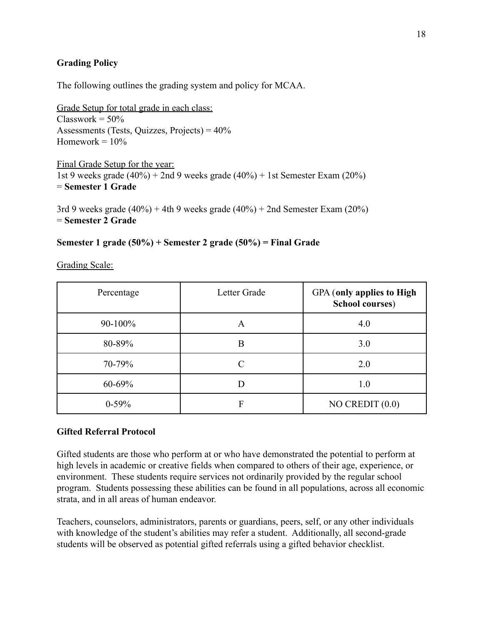# <span id="page-17-0"></span>**Grading Policy**

The following outlines the grading system and policy for MCAA.

Grade Setup for total grade in each class:  $Classwork = 50%$ Assessments (Tests, Quizzes, Projects) =  $40\%$ Homework  $= 10\%$ 

Final Grade Setup for the year: 1st 9 weeks grade  $(40\%)$  + 2nd 9 weeks grade  $(40\%)$  + 1st Semester Exam  $(20\%)$ = **Semester 1 Grade**

3rd 9 weeks grade  $(40\%)$  + 4th 9 weeks grade  $(40\%)$  + 2nd Semester Exam  $(20\%)$ = **Semester 2 Grade**

# **Semester 1 grade (50%) + Semester 2 grade (50%) = Final Grade**

| Percentage | Letter Grade | <b>GPA</b> (only applies to High<br><b>School courses)</b> |
|------------|--------------|------------------------------------------------------------|
| $90-100%$  | A            | 4.0                                                        |
| 80-89%     | Β            | 3.0                                                        |
| 70-79%     |              | 2.0                                                        |
| 60-69%     |              | 1.0                                                        |
| $0-59%$    | F            | $NO$ CREDIT $(0.0)$                                        |

Grading Scale:

# <span id="page-17-1"></span>**Gifted Referral Protocol**

Gifted students are those who perform at or who have demonstrated the potential to perform at high levels in academic or creative fields when compared to others of their age, experience, or environment. These students require services not ordinarily provided by the regular school program. Students possessing these abilities can be found in all populations, across all economic strata, and in all areas of human endeavor.

Teachers, counselors, administrators, parents or guardians, peers, self, or any other individuals with knowledge of the student's abilities may refer a student. Additionally, all second-grade students will be observed as potential gifted referrals using a gifted behavior checklist.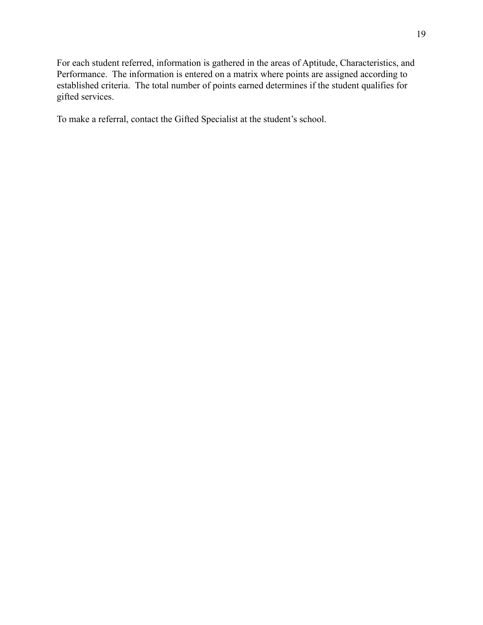For each student referred, information is gathered in the areas of Aptitude, Characteristics, and Performance. The information is entered on a matrix where points are assigned according to established criteria. The total number of points earned determines if the student qualifies for gifted services.

To make a referral, contact the Gifted Specialist at the student's school.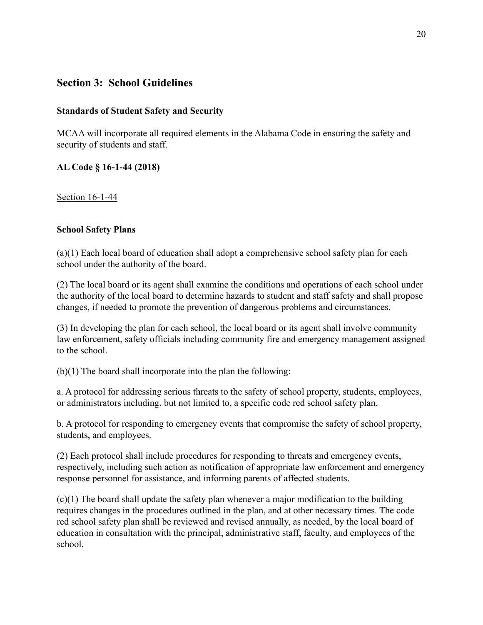# <span id="page-19-0"></span>**Section 3: School Guidelines**

# <span id="page-19-1"></span>**Standards of Student Safety and Security**

MCAA will incorporate all required elements in the Alabama Code in ensuring the safety and security of students and staff.

# **[AL Code § 16-1-44 \(2018\)](https://law.justia.com/citations.html)**

## <span id="page-19-2"></span>Section 16-1-44

# **School Safety Plans**

(a)(1) Each local board of education shall adopt a comprehensive school safety plan for each school under the authority of the board.

(2) The local board or its agent shall examine the conditions and operations of each school under the authority of the local board to determine hazards to student and staff safety and shall propose changes, if needed to promote the prevention of dangerous problems and circumstances.

(3) In developing the plan for each school, the local board or its agent shall involve community law enforcement, safety officials including community fire and emergency management assigned to the school.

(b)(1) The board shall incorporate into the plan the following:

a. A protocol for addressing serious threats to the safety of school property, students, employees, or administrators including, but not limited to, a specific code red school safety plan.

b. A protocol for responding to emergency events that compromise the safety of school property, students, and employees.

(2) Each protocol shall include procedures for responding to threats and emergency events, respectively, including such action as notification of appropriate law enforcement and emergency response personnel for assistance, and informing parents of affected students.

(c)(1) The board shall update the safety plan whenever a major modification to the building requires changes in the procedures outlined in the plan, and at other necessary times. The code red school safety plan shall be reviewed and revised annually, as needed, by the local board of education in consultation with the principal, administrative staff, faculty, and employees of the school.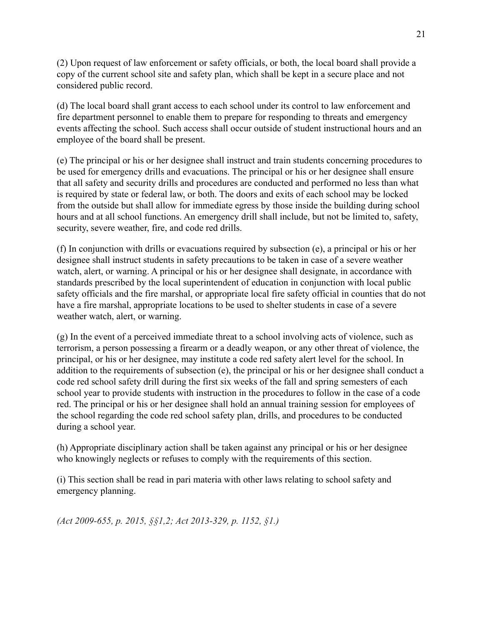(2) Upon request of law enforcement or safety officials, or both, the local board shall provide a copy of the current school site and safety plan, which shall be kept in a secure place and not considered public record.

(d) The local board shall grant access to each school under its control to law enforcement and fire department personnel to enable them to prepare for responding to threats and emergency events affecting the school. Such access shall occur outside of student instructional hours and an employee of the board shall be present.

(e) The principal or his or her designee shall instruct and train students concerning procedures to be used for emergency drills and evacuations. The principal or his or her designee shall ensure that all safety and security drills and procedures are conducted and performed no less than what is required by state or federal law, or both. The doors and exits of each school may be locked from the outside but shall allow for immediate egress by those inside the building during school hours and at all school functions. An emergency drill shall include, but not be limited to, safety, security, severe weather, fire, and code red drills.

(f) In conjunction with drills or evacuations required by subsection (e), a principal or his or her designee shall instruct students in safety precautions to be taken in case of a severe weather watch, alert, or warning. A principal or his or her designee shall designate, in accordance with standards prescribed by the local superintendent of education in conjunction with local public safety officials and the fire marshal, or appropriate local fire safety official in counties that do not have a fire marshal, appropriate locations to be used to shelter students in case of a severe weather watch, alert, or warning.

(g) In the event of a perceived immediate threat to a school involving acts of violence, such as terrorism, a person possessing a firearm or a deadly weapon, or any other threat of violence, the principal, or his or her designee, may institute a code red safety alert level for the school. In addition to the requirements of subsection (e), the principal or his or her designee shall conduct a code red school safety drill during the first six weeks of the fall and spring semesters of each school year to provide students with instruction in the procedures to follow in the case of a code red. The principal or his or her designee shall hold an annual training session for employees of the school regarding the code red school safety plan, drills, and procedures to be conducted during a school year.

(h) Appropriate disciplinary action shall be taken against any principal or his or her designee who knowingly neglects or refuses to comply with the requirements of this section.

(i) This section shall be read in pari materia with other laws relating to school safety and emergency planning.

*(Act 2009-655, p. 2015, §§1,2; Act 2013-329, p. 1152, §1.)*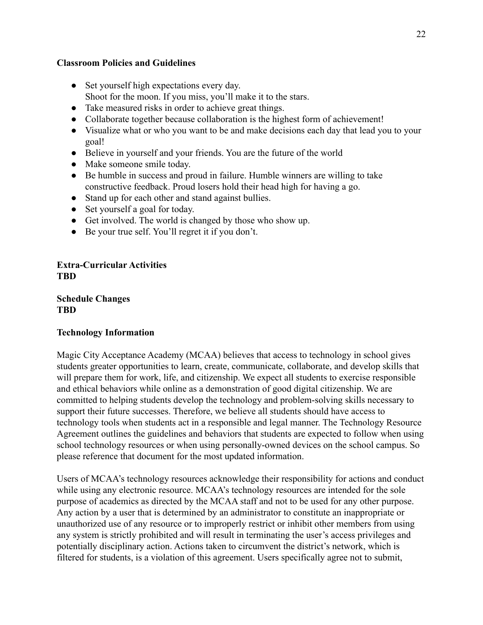#### <span id="page-21-0"></span>**Classroom Policies and Guidelines**

- Set yourself high expectations every day. Shoot for the moon. If you miss, you'll make it to the stars.
- Take measured risks in order to achieve great things.
- Collaborate together because collaboration is the highest form of achievement!
- Visualize what or who you want to be and make decisions each day that lead you to your goal!
- Believe in yourself and your friends. You are the future of the world
- Make someone smile today.
- Be humble in success and proud in failure. Humble winners are willing to take constructive feedback. Proud losers hold their head high for having a go.
- Stand up for each other and stand against bullies.
- Set yourself a goal for today.
- Get involved. The world is changed by those who show up.
- Be your true self. You'll regret it if you don't.

<span id="page-21-1"></span>**Extra-Curricular Activities TBD**

<span id="page-21-2"></span>**Schedule Changes TBD**

# <span id="page-21-3"></span>**Technology Information**

Magic City Acceptance Academy (MCAA) believes that access to technology in school gives students greater opportunities to learn, create, communicate, collaborate, and develop skills that will prepare them for work, life, and citizenship. We expect all students to exercise responsible and ethical behaviors while online as a demonstration of good digital citizenship. We are committed to helping students develop the technology and problem-solving skills necessary to support their future successes. Therefore, we believe all students should have access to technology tools when students act in a responsible and legal manner. The Technology Resource Agreement outlines the guidelines and behaviors that students are expected to follow when using school technology resources or when using personally-owned devices on the school campus. So please reference that document for the most updated information.

Users of MCAA's technology resources acknowledge their responsibility for actions and conduct while using any electronic resource. MCAA's technology resources are intended for the sole purpose of academics as directed by the MCAA staff and not to be used for any other purpose. Any action by a user that is determined by an administrator to constitute an inappropriate or unauthorized use of any resource or to improperly restrict or inhibit other members from using any system is strictly prohibited and will result in terminating the user's access privileges and potentially disciplinary action. Actions taken to circumvent the district's network, which is filtered for students, is a violation of this agreement. Users specifically agree not to submit,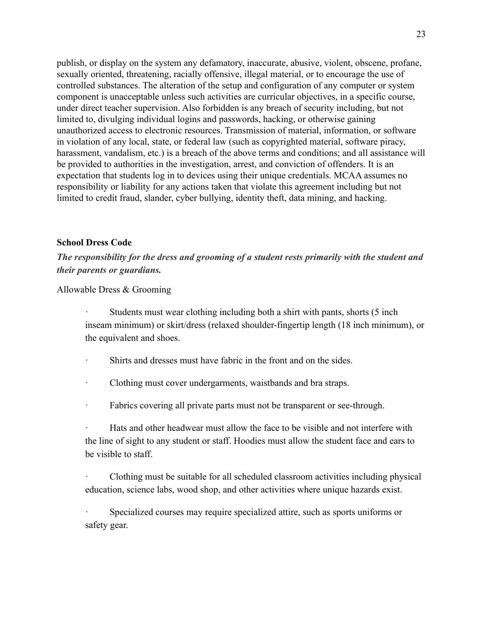publish, or display on the system any defamatory, inaccurate, abusive, violent, obscene, profane, sexually oriented, threatening, racially offensive, illegal material, or to encourage the use of controlled substances. The alteration of the setup and configuration of any computer or system component is unacceptable unless such activities are curricular objectives, in a specific course, under direct teacher supervision. Also forbidden is any breach of security including, but not limited to, divulging individual logins and passwords, hacking, or otherwise gaining unauthorized access to electronic resources. Transmission of material, information, or software in violation of any local, state, or federal law (such as copyrighted material, software piracy, harassment, vandalism, etc.) is a breach of the above terms and conditions; and all assistance will be provided to authorities in the investigation, arrest, and conviction of offenders. It is an expectation that students log in to devices using their unique credentials. MCAA assumes no responsibility or liability for any actions taken that violate this agreement including but not limited to credit fraud, slander, cyber bullying, identity theft, data mining, and hacking.

#### <span id="page-22-0"></span>**School Dress Code**

*The responsibility for the dress and grooming of a student rests primarily with the student and their parents or guardians.*

Allowable Dress & Grooming

Students must wear clothing including both a shirt with pants, shorts (5 inch inseam minimum) or skirt/dress (relaxed shoulder-fingertip length (18 inch minimum), or the equivalent and shoes.

· Shirts and dresses must have fabric in the front and on the sides.

· Clothing must cover undergarments, waistbands and bra straps.

· Fabrics covering all private parts must not be transparent or see-through.

Hats and other headwear must allow the face to be visible and not interfere with the line of sight to any student or staff. Hoodies must allow the student face and ears to be visible to staff.

· Clothing must be suitable for all scheduled classroom activities including physical education, science labs, wood shop, and other activities where unique hazards exist.

Specialized courses may require specialized attire, such as sports uniforms or safety gear.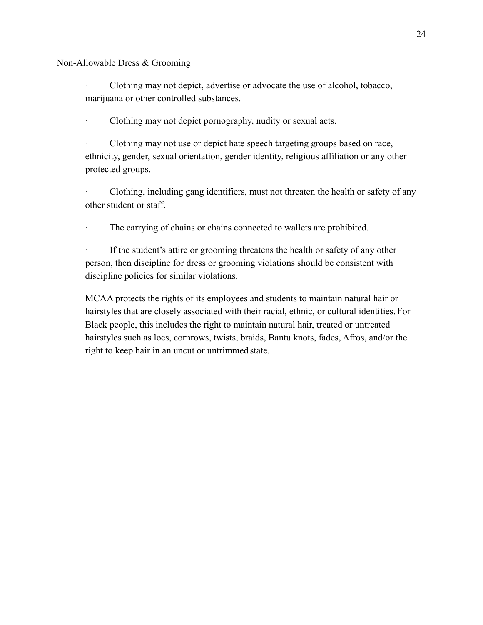Non-Allowable Dress & Grooming

· Clothing may not depict, advertise or advocate the use of alcohol, tobacco, marijuana or other controlled substances.

Clothing may not depict pornography, nudity or sexual acts.

Clothing may not use or depict hate speech targeting groups based on race, ethnicity, gender, sexual orientation, gender identity, religious affiliation or any other protected groups.

· Clothing, including gang identifiers, must not threaten the health or safety of any other student or staff.

· The carrying of chains or chains connected to wallets are prohibited.

If the student's attire or grooming threatens the health or safety of any other person, then discipline for dress or grooming violations should be consistent with discipline policies for similar violations.

MCAA protects the rights of its employees and students to maintain natural hair or hairstyles that are closely associated with their racial, ethnic, or cultural identities. For Black people, this includes the right to maintain natural hair, treated or untreated hairstyles such as locs, cornrows, twists, braids, Bantu knots, fades, Afros, and/or the right to keep hair in an uncut or untrimmed state.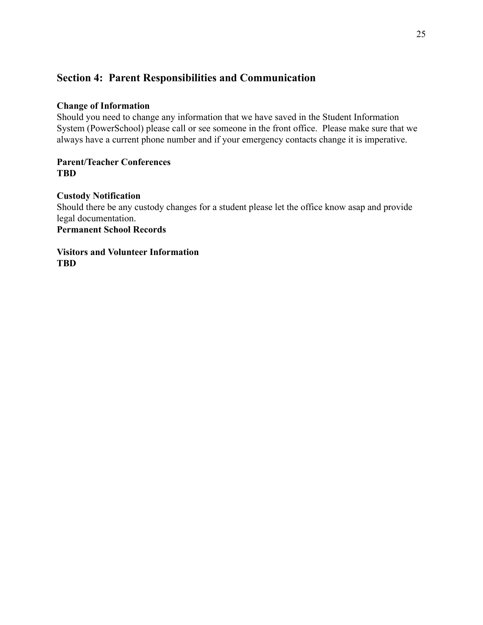# <span id="page-24-0"></span>**Section 4: Parent Responsibilities and Communication**

# <span id="page-24-1"></span>**Change of Information**

Should you need to change any information that we have saved in the Student Information System (PowerSchool) please call or see someone in the front office. Please make sure that we always have a current phone number and if your emergency contacts change it is imperative.

# <span id="page-24-2"></span>**Parent/Teacher Conferences TBD**

## <span id="page-24-3"></span>**Custody Notification**

Should there be any custody changes for a student please let the office know asap and provide legal documentation. **Permanent School Records**

<span id="page-24-4"></span>**Visitors and Volunteer Information**

**TBD**